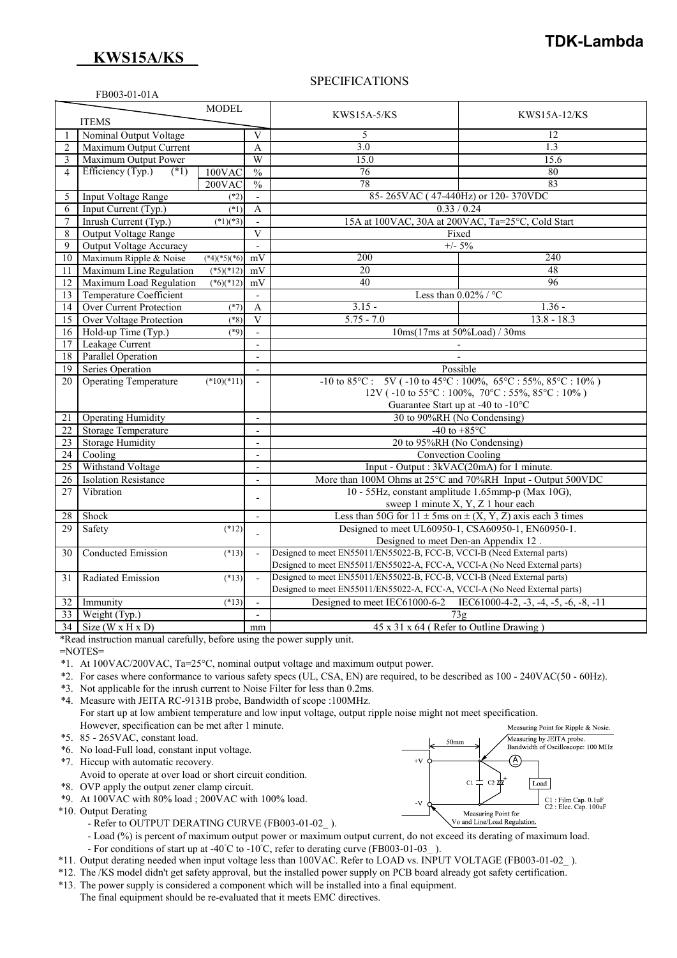## **KWS15A/KS**

FB003-01-01A

# **TDK-Lambda**

Measuring by JEITA probe.<br>Bandwidth of Oscilloscope: 100 MHz

C1: Film Cap. 0.1uF<br>C2: Elec. Cap. 100uF

Æ

Load

 $50<sub>mn</sub>$ 

 $\overline{C}$ 

Measuring Point for Vo and Line/Load Regulation

 $+\nabla$ 

 $\mathbf{V}$ 

## SPECIFICATIONS

| <b>MODEL</b>   |                                             |                |                          | <b>KWS15A-5/KS</b>                                                         | KWS15A-12/KS                                     |
|----------------|---------------------------------------------|----------------|--------------------------|----------------------------------------------------------------------------|--------------------------------------------------|
| <b>ITEMS</b>   |                                             |                |                          |                                                                            |                                                  |
|                | Nominal Output Voltage                      |                | V                        | 5                                                                          | 12                                               |
| $\overline{2}$ | Maximum Output Current                      |                | A                        | 3.0                                                                        | 1.3                                              |
| 3              | Maximum Output Power                        |                | W                        | 15.0                                                                       | 15.6                                             |
| $\overline{4}$ | Efficiency (Typ.)<br>$(*1)$                 | 100VAC         | $\frac{0}{0}$            | $\overline{76}$                                                            | 80                                               |
|                |                                             | 200VAC         | $\overline{\frac{0}{0}}$ | $\overline{78}$                                                            | 83                                               |
| 5              | Input Voltage Range                         | $(*2)$         |                          | 85-265VAC (47-440Hz) or 120-370VDC                                         |                                                  |
| 6              | Input Current (Typ.)<br>$(*1)$              |                | A                        | 0.33 / 0.24                                                                |                                                  |
| $\overline{7}$ | Inrush Current (Typ.)                       | $(*1)(*3)$     |                          | 15A at 100VAC, 30A at 200VAC, Ta=25°C, Cold Start                          |                                                  |
| 8              | <b>Output Voltage Range</b>                 |                | $\mathbf{V}$             | Fixed                                                                      |                                                  |
| 9              | <b>Output Voltage Accuracy</b>              |                | $\overline{a}$           | $+/- 5\%$                                                                  |                                                  |
| 10             | Maximum Ripple & Noise                      | $(*4)(*5)(*6)$ | mV                       | 200                                                                        | 240                                              |
| 11             | Maximum Line Regulation                     | $(*5)(*12)$    | mV                       | 20                                                                         | 48                                               |
| 12             | Maximum Load Regulation                     | $(*6)(*12)$    | mV                       | 40                                                                         | $\overline{96}$                                  |
| 13             | <b>Temperature Coefficient</b>              |                | $\overline{a}$           | Less than $0.02\%$ / °C                                                    |                                                  |
| 14             | <b>Over Current Protection</b>              | $(*7)$         | A                        | $3.15 -$                                                                   | $1.36 -$                                         |
| 15             | Over Voltage Protection                     | $(*8)$         | $\overline{\mathbf{V}}$  | $5.75 - 7.0$                                                               | $13.8 - 18.3$                                    |
| 16             | Hold-up Time (Typ.)                         | $(*9)$         |                          | $10\text{ms}(17\text{ms at } 50\%$ Load $\frac{1}{\sqrt{30\text{ms}}})$    |                                                  |
| 17             | Leakage Current<br>$\overline{\phantom{a}}$ |                |                          |                                                                            |                                                  |
| 18             | <b>Parallel Operation</b>                   |                | $\overline{a}$           |                                                                            |                                                  |
| 19             | Series Operation                            |                |                          | Possible                                                                   |                                                  |
| 20             | <b>Operating Temperature</b>                | $(*10)(*11)$   | $\sim$                   | $-10$ to 85°C: 5V ( $-10$ to 45°C: $100\%$ , 65°C: 55%, 85°C: $10\%$ )     |                                                  |
|                |                                             |                |                          |                                                                            | 12V ( $-10$ to 55°C: 100%, 70°C: 55%, 85°C: 10%) |
|                |                                             |                |                          | Guarantee Start up at -40 to -10°C                                         |                                                  |
| 21             | <b>Operating Humidity</b>                   |                | $\blacksquare$           | 30 to 90%RH (No Condensing)                                                |                                                  |
| 22             | <b>Storage Temperature</b>                  |                | $\overline{\phantom{a}}$ | -40 to $+85^{\circ}$ C                                                     |                                                  |
| 23             | <b>Storage Humidity</b>                     |                | $\overline{\phantom{a}}$ | 20 to 95%RH (No Condensing)                                                |                                                  |
| 24             | Cooling                                     |                | $\overline{\phantom{a}}$ | Convection Cooling                                                         |                                                  |
| 25             | Withstand Voltage                           |                | $\sim$                   | Input - Output : 3kVAC(20mA) for 1 minute.                                 |                                                  |
| 26             | <b>Isolation Resistance</b>                 |                | $\overline{\phantom{a}}$ | More than 100M Ohms at 25°C and 70%RH Input - Output 500VDC                |                                                  |
| 27             | Vibration                                   |                | $\overline{\phantom{a}}$ | 10 - 55Hz, constant amplitude 1.65mmp-p (Max 10G),                         |                                                  |
|                |                                             |                |                          | sweep 1 minute X, Y, Z 1 hour each                                         |                                                  |
| 28             | Shock                                       |                | $\sim$                   | Less than 50G for $11 \pm 5$ ms on $\pm (X, Y, Z)$ axis each 3 times       |                                                  |
| 29             | Safety                                      | $(*12)$        |                          | Designed to meet UL60950-1, CSA60950-1, EN60950-1.                         |                                                  |
|                |                                             |                |                          | Designed to meet Den-an Appendix 12.                                       |                                                  |
| 30             | <b>Conducted Emission</b>                   | (13)           |                          | Designed to meet EN55011/EN55022-B, FCC-B, VCCI-B (Need External parts)    |                                                  |
|                |                                             |                |                          | Designed to meet EN55011/EN55022-A, FCC-A, VCCI-A (No Need External parts) |                                                  |
| 31             | Radiated Emission                           | $(*13)$        | $\sim$                   | Designed to meet EN55011/EN55022-B, FCC-B, VCCI-B (Need External parts)    |                                                  |
|                |                                             |                |                          | Designed to meet EN55011/EN55022-A, FCC-A, VCCI-A (No Need External parts) |                                                  |
| 32             | Immunity                                    | (13)           | $\overline{a}$           | Designed to meet IEC61000-6-2 IEC61000-4-2, -3, -4, -5, -6, -8, -11        |                                                  |
| 33             | Weight (Typ.)                               |                | $\blacksquare$           | 73g                                                                        |                                                  |
| 34             | Size ( $W \times H \times D$ )              |                | mm                       | 45 x 31 x 64 (Refer to Outline Drawing)                                    |                                                  |

\*Read instruction manual carefully, before using the power supply unit.

=NOTES=

\*1. At 100VAC/200VAC, Ta=25°C, nominal output voltage and maximum output power.

- \*2. For cases where conformance to various safety specs (UL, CSA, EN) are required, to be described as 100 240VAC(50 60Hz).
- \*3. Not applicable for the inrush current to Noise Filter for less than 0.2ms.

\*4. Measure with JEITA RC-9131B probe, Bandwidth of scope :100MHz. For start up at low ambient temperature and low input voltage, output ripple noise might not meet specification. However, specification can be met after 1 minute. Measuring Point for Ripple & Nosie.

- \*5. 85 265VAC, constant load.
- \*6. No load-Full load, constant input voltage.

\*7. Hiccup with automatic recovery.

- Avoid to operate at over load or short circuit condition.
- \*8. OVP apply the output zener clamp circuit.

\*9. At 100VAC with 80% load ; 200VAC with 100% load.

- \*10. Output Derating
	- Refer to OUTPUT DERATING CURVE (FB003-01-02).

- Load (%) is percent of maximum output power or maximum output current, do not exceed its derating of maximum load.

- For conditions of start up at -40°C to -10°C, refer to derating curve (FB003-01-03).

\*11. Output derating needed when input voltage less than 100VAC. Refer to LOAD vs. INPUT VOLTAGE (FB003-01-02\_ ).

- \*12. The /KS model didn't get safety approval, but the installed power supply on PCB board already got safety certification.
- \*13. The power supply is considered a component which will be installed into a final equipment.

The final equipment should be re-evaluated that it meets EMC directives.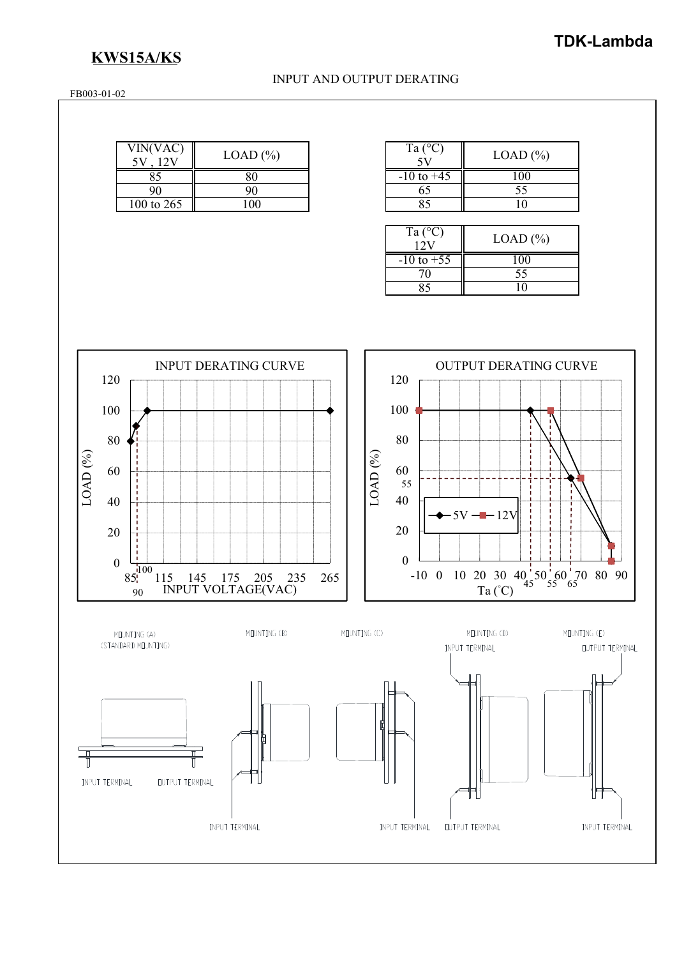INPUT TERMINAL

# **KWS15A/KS**

### INPUT AND OUTPUT DERATING

FB003-01-02

| VIN(VAC)   | $LOAD$ $%$ |  |  |
|------------|------------|--|--|
|            |            |  |  |
| 90         | 90         |  |  |
| 100 to 265 | 100        |  |  |

INPUT TERMINAL

| Ta $(^{\circ}C)$ | $LOAD$ $%$ |
|------------------|------------|
| $-10$ to $+45$   |            |
| 65               | 55         |
|                  |            |

| Ta $(^{\circ}C)$ | $LOAD$ $%$ |
|------------------|------------|
| $-10$ to $+55$   |            |
|                  | 55         |
|                  |            |
|                  |            |



INPUT TERMINAL

**OUTPUT TERMINAL**